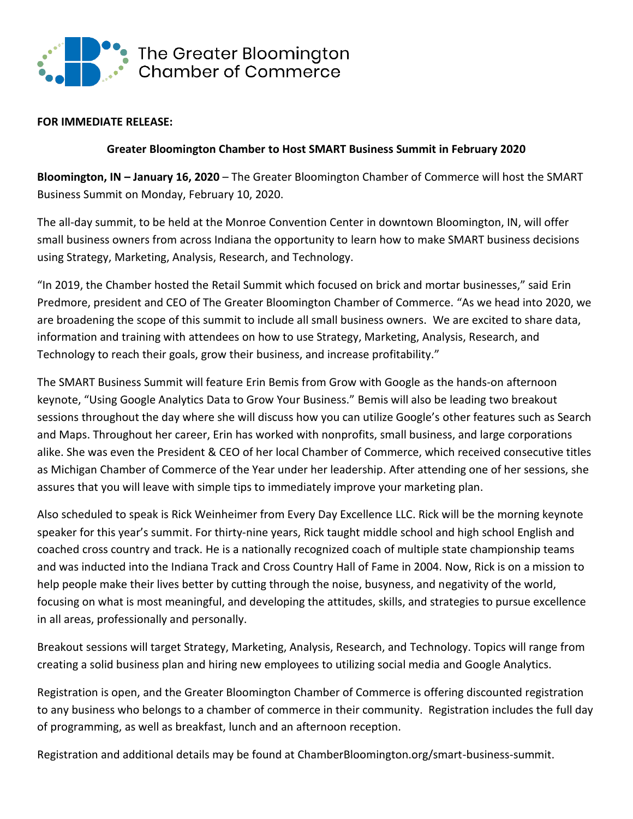

**The Greater Bloomington**<br>Chamber of Commerce

## **FOR IMMEDIATE RELEASE:**

## **Greater Bloomington Chamber to Host SMART Business Summit in February 2020**

**Bloomington, IN – January 16, 2020** – The Greater Bloomington Chamber of Commerce will host the SMART Business Summit on Monday, February 10, 2020.

The all-day summit, to be held at the Monroe Convention Center in downtown Bloomington, IN, will offer small business owners from across Indiana the opportunity to learn how to make SMART business decisions using Strategy, Marketing, Analysis, Research, and Technology.

"In 2019, the Chamber hosted the Retail Summit which focused on brick and mortar businesses," said Erin Predmore, president and CEO of The Greater Bloomington Chamber of Commerce. "As we head into 2020, we are broadening the scope of this summit to include all small business owners. We are excited to share data, information and training with attendees on how to use Strategy, Marketing, Analysis, Research, and Technology to reach their goals, grow their business, and increase profitability."

The SMART Business Summit will feature Erin Bemis from Grow with Google as the hands-on afternoon keynote, "Using Google Analytics Data to Grow Your Business." Bemis will also be leading two breakout sessions throughout the day where she will discuss how you can utilize Google's other features such as Search and Maps. Throughout her career, Erin has worked with nonprofits, small business, and large corporations alike. She was even the President & CEO of her local Chamber of Commerce, which received consecutive titles as Michigan Chamber of Commerce of the Year under her leadership. After attending one of her sessions, she assures that you will leave with simple tips to immediately improve your marketing plan.

Also scheduled to speak is Rick Weinheimer from Every Day Excellence LLC. Rick will be the morning keynote speaker for this year's summit. For thirty-nine years, Rick taught middle school and high school English and coached cross country and track. He is a nationally recognized coach of multiple state championship teams and was inducted into the Indiana Track and Cross Country Hall of Fame in 2004. Now, Rick is on a mission to help people make their lives better by cutting through the noise, busyness, and negativity of the world, focusing on what is most meaningful, and developing the attitudes, skills, and strategies to pursue excellence in all areas, professionally and personally.

Breakout sessions will target Strategy, Marketing, Analysis, Research, and Technology. Topics will range from creating a solid business plan and hiring new employees to utilizing social media and Google Analytics.

Registration is open, and the Greater Bloomington Chamber of Commerce is offering discounted registration to any business who belongs to a chamber of commerce in their community. Registration includes the full day of programming, as well as breakfast, lunch and an afternoon reception.

Registration and additional details may be found at ChamberBloomington.org/smart-business-summit.